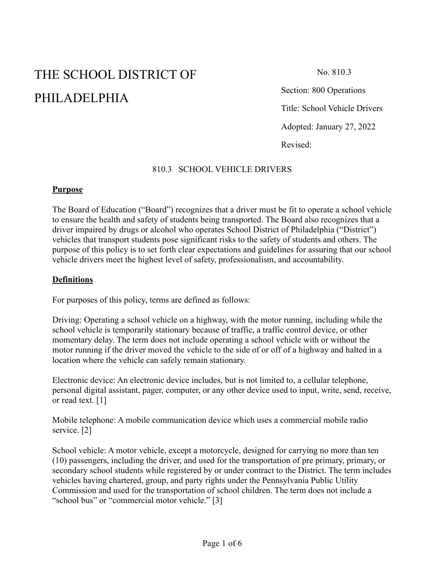# THE SCHOOL DISTRICT OF PHILADELPHIA

No. 810.3

Section: 800 Operations Title: School Vehicle Drivers Adopted: January 27, 2022 Revised:

## 810.3 SCHOOL VEHICLE DRIVERS

#### **Purpose**

The Board of Education ("Board") recognizes that a driver must be fit to operate a school vehicle to ensure the health and safety of students being transported. The Board also recognizes that a driver impaired by drugs or alcohol who operates School District of Philadelphia ("District") vehicles that transport students pose significant risks to the safety of students and others. The purpose of this policy is to set forth clear expectations and guidelines for assuring that our school vehicle drivers meet the highest level of safety, professionalism, and accountability.

#### **Definitions**

For purposes of this policy, terms are defined as follows:

Driving: Operating a school vehicle on a highway, with the motor running, including while the school vehicle is temporarily stationary because of traffic, a traffic control device, or other momentary delay. The term does not include operating a school vehicle with or without the motor running if the driver moved the vehicle to the side of or off of a highway and halted in a location where the vehicle can safely remain stationary.

Electronic device: An electronic device includes, but is not limited to, a cellular telephone, personal digital assistant, pager, computer, or any other device used to input, write, send, receive, or read text. [1]

Mobile telephone: A mobile communication device which uses a commercial mobile radio service. [2]

School vehicle: A motor vehicle, except a motorcycle, designed for carrying no more than ten (10) passengers, including the driver, and used for the transportation of pre primary, primary, or secondary school students while registered by or under contract to the District. The term includes vehicles having chartered, group, and party rights under the Pennsylvania Public Utility Commission and used for the transportation of school children. The term does not include a "school bus" or "commercial motor vehicle." [3]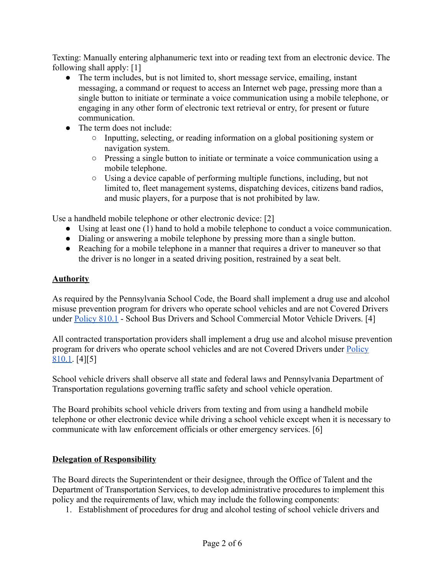Texting: Manually entering alphanumeric text into or reading text from an electronic device. The following shall apply: [1]

- The term includes, but is not limited to, short message service, emailing, instant messaging, a command or request to access an Internet web page, pressing more than a single button to initiate or terminate a voice communication using a mobile telephone, or engaging in any other form of electronic text retrieval or entry, for present or future communication.
- The term does not include:
	- Inputting, selecting, or reading information on a global positioning system or navigation system.
	- Pressing a single button to initiate or terminate a voice communication using a mobile telephone.
	- Using a device capable of performing multiple functions, including, but not limited to, fleet management systems, dispatching devices, citizens band radios, and music players, for a purpose that is not prohibited by law.

Use a handheld mobile telephone or other electronic device: [2]

- Using at least one (1) hand to hold a mobile telephone to conduct a voice communication.
- Dialing or answering a mobile telephone by pressing more than a single button.
- Reaching for a mobile telephone in a manner that requires a driver to maneuver so that the driver is no longer in a seated driving position, restrained by a seat belt.

## **Authority**

As required by the Pennsylvania School Code, the Board shall implement a drug use and alcohol misuse prevention program for drivers who operate school vehicles and are not Covered Drivers under [Policy 810.1](https://www.philasd.org/schoolboard/policies/) - School Bus Drivers and School Commercial Motor Vehicle Drivers. [4]

All contracted transportation providers shall implement a drug use and alcohol misuse prevention program for drivers who operate school vehicles and are not Covered Drivers under [Policy](https://www.philasd.org/schoolboard/policies/) [810.1](https://www.philasd.org/schoolboard/policies/). [4][5]

School vehicle drivers shall observe all state and federal laws and Pennsylvania Department of Transportation regulations governing traffic safety and school vehicle operation.

The Board prohibits school vehicle drivers from texting and from using a handheld mobile telephone or other electronic device while driving a school vehicle except when it is necessary to communicate with law enforcement officials or other emergency services. [6]

#### **Delegation of Responsibility**

The Board directs the Superintendent or their designee, through the Office of Talent and the Department of Transportation Services, to develop administrative procedures to implement this policy and the requirements of law, which may include the following components:

1. Establishment of procedures for drug and alcohol testing of school vehicle drivers and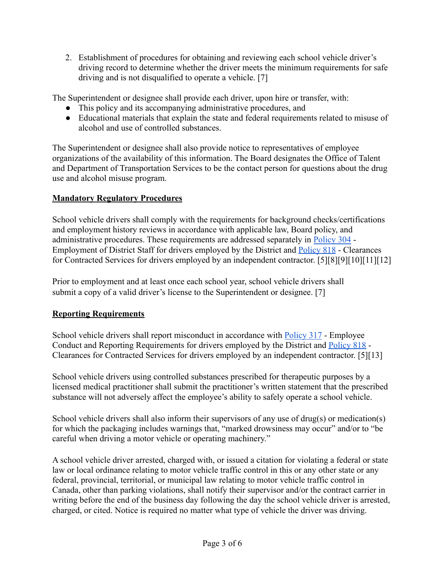2. Establishment of procedures for obtaining and reviewing each school vehicle driver's driving record to determine whether the driver meets the minimum requirements for safe driving and is not disqualified to operate a vehicle. [7]

The Superintendent or designee shall provide each driver, upon hire or transfer, with:

- This policy and its accompanying administrative procedures, and
- Educational materials that explain the state and federal requirements related to misuse of alcohol and use of controlled substances.

The Superintendent or designee shall also provide notice to representatives of employee organizations of the availability of this information. The Board designates the Office of Talent and Department of Transportation Services to be the contact person for questions about the drug use and alcohol misuse program.

## **Mandatory Regulatory Procedures**

School vehicle drivers shall comply with the requirements for background checks/certifications and employment history reviews in accordance with applicable law, Board policy, and administrative procedures. These requirements are addressed separately in [Policy 304](https://www.philasd.org/schoolboard/policies/) - Employment of District Staff for drivers employed by the District and [Policy 818](https://www.philasd.org/schoolboard/policies/) - Clearances for Contracted Services for drivers employed by an independent contractor. [5][8][9][10][11][12]

Prior to employment and at least once each school year, school vehicle drivers shall submit a copy of a valid driver's license to the Superintendent or designee. [7]

# **Reporting Requirements**

School vehicle drivers shall report misconduct in accordance with [Policy 317](https://www.philasd.org/schoolboard/policies/) - Employee Conduct and Reporting Requirements for drivers employed by the District and [Policy 818](https://www.philasd.org/schoolboard/policies/) - Clearances for Contracted Services for drivers employed by an independent contractor. [5][13]

School vehicle drivers using controlled substances prescribed for therapeutic purposes by a licensed medical practitioner shall submit the practitioner's written statement that the prescribed substance will not adversely affect the employee's ability to safely operate a school vehicle.

School vehicle drivers shall also inform their supervisors of any use of drug(s) or medication(s) for which the packaging includes warnings that, "marked drowsiness may occur" and/or to "be careful when driving a motor vehicle or operating machinery."

A school vehicle driver arrested, charged with, or issued a citation for violating a federal or state law or local ordinance relating to motor vehicle traffic control in this or any other state or any federal, provincial, territorial, or municipal law relating to motor vehicle traffic control in Canada, other than parking violations, shall notify their supervisor and/or the contract carrier in writing before the end of the business day following the day the school vehicle driver is arrested, charged, or cited. Notice is required no matter what type of vehicle the driver was driving.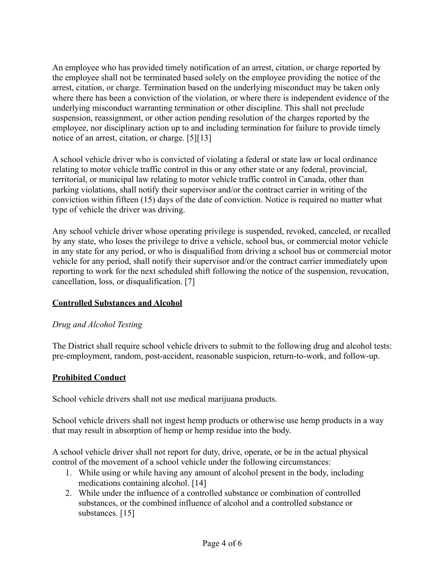An employee who has provided timely notification of an arrest, citation, or charge reported by the employee shall not be terminated based solely on the employee providing the notice of the arrest, citation, or charge. Termination based on the underlying misconduct may be taken only where there has been a conviction of the violation, or where there is independent evidence of the underlying misconduct warranting termination or other discipline. This shall not preclude suspension, reassignment, or other action pending resolution of the charges reported by the employee, nor disciplinary action up to and including termination for failure to provide timely notice of an arrest, citation, or charge. [5][13]

A school vehicle driver who is convicted of violating a federal or state law or local ordinance relating to motor vehicle traffic control in this or any other state or any federal, provincial, territorial, or municipal law relating to motor vehicle traffic control in Canada, other than parking violations, shall notify their supervisor and/or the contract carrier in writing of the conviction within fifteen (15) days of the date of conviction. Notice is required no matter what type of vehicle the driver was driving.

Any school vehicle driver whose operating privilege is suspended, revoked, canceled, or recalled by any state, who loses the privilege to drive a vehicle, school bus, or commercial motor vehicle in any state for any period, or who is disqualified from driving a school bus or commercial motor vehicle for any period, shall notify their supervisor and/or the contract carrier immediately upon reporting to work for the next scheduled shift following the notice of the suspension, revocation, cancellation, loss, or disqualification. [7]

#### **Controlled Substances and Alcohol**

#### *Drug and Alcohol Testing*

The District shall require school vehicle drivers to submit to the following drug and alcohol tests: pre-employment, random, post-accident, reasonable suspicion, return-to-work, and follow-up.

#### **Prohibited Conduct**

School vehicle drivers shall not use medical marijuana products.

School vehicle drivers shall not ingest hemp products or otherwise use hemp products in a way that may result in absorption of hemp or hemp residue into the body.

A school vehicle driver shall not report for duty, drive, operate, or be in the actual physical control of the movement of a school vehicle under the following circumstances:

- 1. While using or while having any amount of alcohol present in the body, including medications containing alcohol. [14]
- 2. While under the influence of a controlled substance or combination of controlled substances, or the combined influence of alcohol and a controlled substance or substances. [15]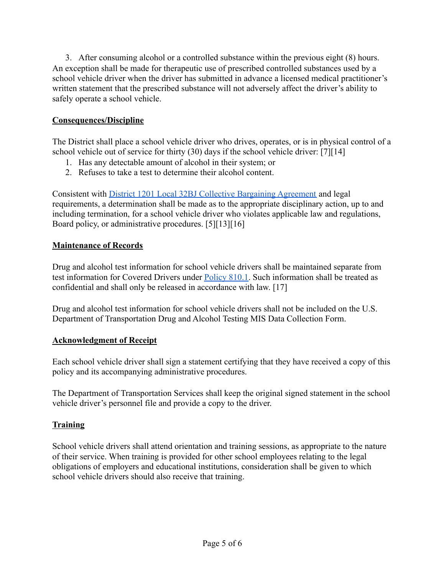3. After consuming alcohol or a controlled substance within the previous eight (8) hours. An exception shall be made for therapeutic use of prescribed controlled substances used by a school vehicle driver when the driver has submitted in advance a licensed medical practitioner's written statement that the prescribed substance will not adversely affect the driver's ability to safely operate a school vehicle.

# **Consequences/Discipline**

The District shall place a school vehicle driver who drives, operates, or is in physical control of a school vehicle out of service for thirty (30) days if the school vehicle driver: [7][14]

- 1. Has any detectable amount of alcohol in their system; or
- 2. Refuses to take a test to determine their alcohol content.

Consistent with [District 1201 Local 32BJ Collective](https://www.seiu32bj.org/wp-content/uploads/2020/08/CBA-2016-2020-1201-School-1.pdf) Bargaining Agreement and legal requirements, a determination shall be made as to the appropriate disciplinary action, up to and including termination, for a school vehicle driver who violates applicable law and regulations, Board policy, or administrative procedures. [5][13][16]

# **Maintenance of Records**

Drug and alcohol test information for school vehicle drivers shall be maintained separate from test information for Covered Drivers under [Policy](https://www.philasd.org/schoolboard/policies/) 810.1. Such information shall be treated as confidential and shall only be released in accordance with law. [17]

Drug and alcohol test information for school vehicle drivers shall not be included on the U.S. Department of Transportation Drug and Alcohol Testing MIS Data Collection Form.

# **Acknowledgment of Receipt**

Each school vehicle driver shall sign a statement certifying that they have received a copy of this policy and its accompanying administrative procedures.

The Department of Transportation Services shall keep the original signed statement in the school vehicle driver's personnel file and provide a copy to the driver.

# **Training**

School vehicle drivers shall attend orientation and training sessions, as appropriate to the nature of their service. When training is provided for other school employees relating to the legal obligations of employers and educational institutions, consideration shall be given to which school vehicle drivers should also receive that training.